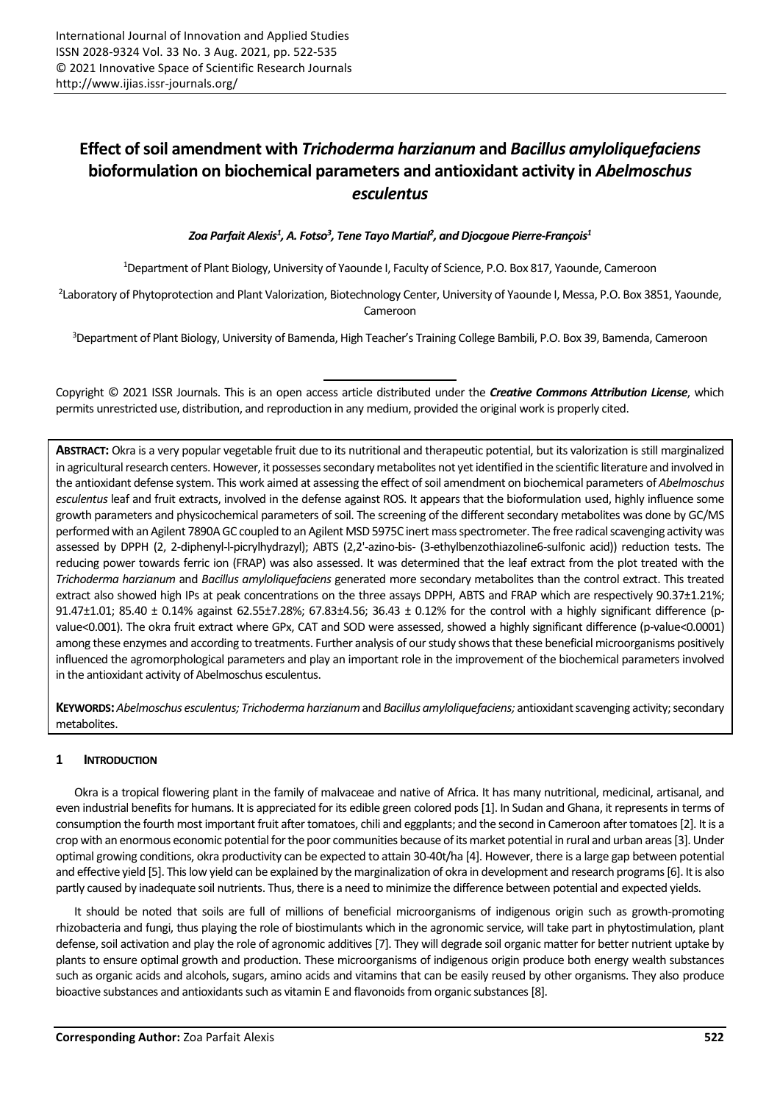# **Effect of soil amendment with** *Trichoderma harzianum* **and** *Bacillus amyloliquefaciens* **bioformulation on biochemical parameters and antioxidant activity in** *Abelmoschus esculentus*

*Zoa Parfait Alexis<sup>1</sup> , A. Fotso<sup>3</sup> , Tene Tayo Martial<sup>2</sup> , and Djocgoue Pierre-François<sup>1</sup>*

<sup>1</sup>Department of Plant Biology, University of Yaounde I, Faculty of Science, P.O. Box 817, Yaounde, Cameroon

2 Laboratory of Phytoprotection and Plant Valorization, Biotechnology Center, University of Yaounde I, Messa, P.O. Box 3851, Yaounde, Cameroon

<sup>3</sup>Department of Plant Biology, University of Bamenda, High Teacher's Training College Bambili, P.O. Box 39, Bamenda, Cameroon

Copyright © 2021 ISSR Journals. This is an open access article distributed under the *Creative Commons Attribution License*, which permits unrestricted use, distribution, and reproduction in any medium, provided the original work is properly cited.

**ABSTRACT:** Okra is a very popular vegetable fruit due to its nutritional and therapeutic potential, but its valorization is still marginalized in agricultural research centers. However, it possesses secondary metabolites not yet identified in the scientific literature and involved in the antioxidant defense system. This work aimed at assessing the effect of soil amendment on biochemical parameters of *Abelmoschus esculentus* leaf and fruit extracts, involved in the defense against ROS. It appears that the bioformulation used, highly influence some growth parameters and physicochemical parameters of soil. The screening of the different secondary metabolites was done by GC/MS performed with an Agilent 7890A GC coupled to an Agilent MSD 5975C inert mass spectrometer. The free radical scavenging activity was assessed by DPPH (2, 2-diphenyl-l-picrylhydrazyl); ABTS (2,2'-azino-bis- (3-ethylbenzothiazoline6-sulfonic acid)) reduction tests. The reducing power towards ferric ion (FRAP) was also assessed. It was determined that the leaf extract from the plot treated with the *Trichoderma harzianum* and *Bacillus amyloliquefaciens* generated more secondary metabolites than the control extract. This treated extract also showed high IPs at peak concentrations on the three assays DPPH, ABTS and FRAP which are respectively 90.37±1.21%; 91.47±1.01; 85.40 ± 0.14% against 62.55±7.28%; 67.83±4.56; 36.43 ± 0.12% for the control with a highly significant difference (pvalue<0.001). The okra fruit extract where GPx, CAT and SOD were assessed, showed a highly significant difference (p-value<0.0001) among these enzymes and according to treatments. Further analysis of our study shows that these beneficial microorganisms positively influenced the agromorphological parameters and play an important role in the improvement of the biochemical parameters involved in the antioxidant activity of Abelmoschus esculentus.

**KEYWORDS:***Abelmoschus esculentus; Trichoderma harzianum* and *Bacillus amyloliquefaciens;* antioxidant scavenging activity; secondary metabolites.

# **1 INTRODUCTION**

Okra is a tropical flowering plant in the family of malvaceae and native of Africa. It has many nutritional, medicinal, artisanal, and even industrial benefits for humans. It is appreciated for its edible green colored pods[1]. In Sudan and Ghana, it represents in terms of consumption the fourth most important fruit after tomatoes, chili and eggplants; and the second in Cameroon after tomatoes[2]. It is a crop with an enormous economic potential for the poor communities because of its market potential in rural and urban areas[3].Under optimal growing conditions, okra productivity can be expected to attain 30-40t/ha [4]. However, there is a large gap between potential and effective yield [5]. This low yield can be explained by the marginalization of okra in development and research programs[6]. It is also partly caused by inadequate soil nutrients. Thus, there is a need to minimize the difference between potential and expected yields.

It should be noted that soils are full of millions of beneficial microorganisms of indigenous origin such as growth-promoting rhizobacteria and fungi, thus playing the role of biostimulants which in the agronomic service, will take part in phytostimulation, plant defense, soil activation and play the role of agronomic additives [7]. They will degrade soil organic matter for better nutrient uptake by plants to ensure optimal growth and production. These microorganisms of indigenous origin produce both energy wealth substances such as organic acids and alcohols, sugars, amino acids and vitamins that can be easily reused by other organisms. They also produce bioactive substances and antioxidants such as vitamin E and flavonoids from organic substances[8].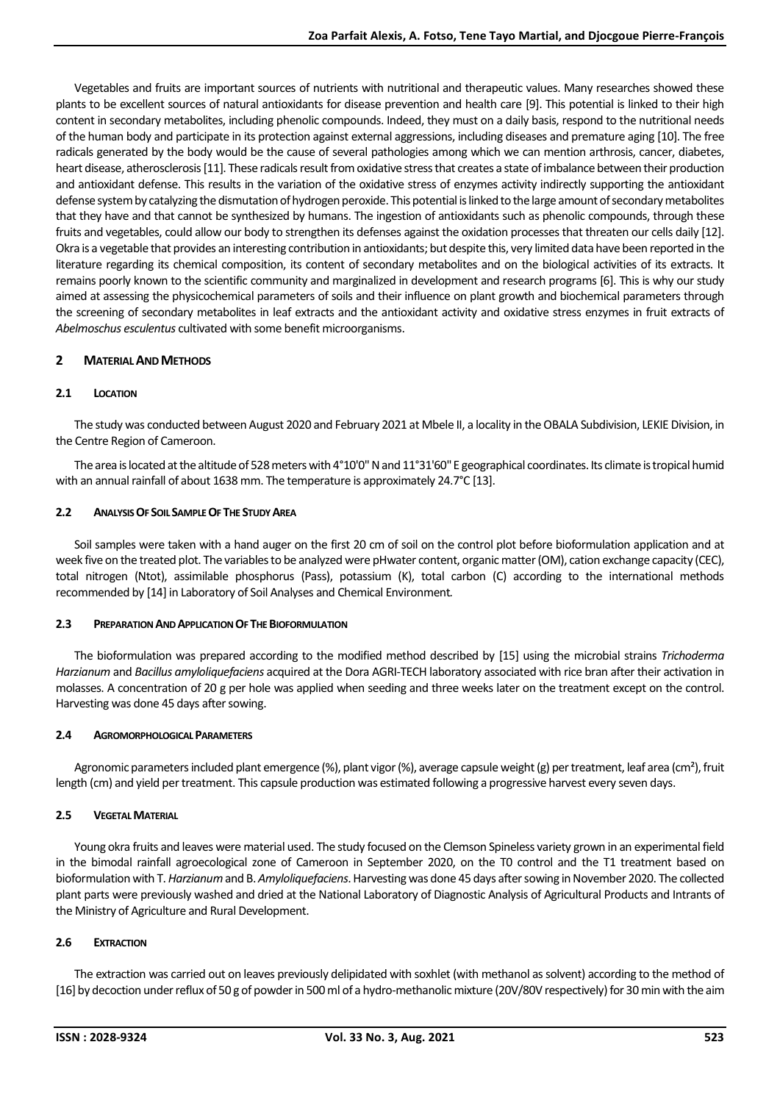Vegetables and fruits are important sources of nutrients with nutritional and therapeutic values. Many researches showed these plants to be excellent sources of natural antioxidants for disease prevention and health care [9]. This potential is linked to their high content in secondary metabolites, including phenolic compounds. Indeed, they must on a daily basis, respond to the nutritional needs of the human body and participate in its protection against external aggressions, including diseases and premature aging [10]. The free radicals generated by the body would be the cause of several pathologies among which we can mention arthrosis, cancer, diabetes, heart disease, atherosclerosis[11]. These radicals result from oxidative stress that creates a state of imbalance between their production and antioxidant defense. This results in the variation of the oxidative stress of enzymes activity indirectly supporting the antioxidant defense system by catalyzing the dismutation of hydrogen peroxide. This potential is linked to the large amount of secondary metabolites that they have and that cannot be synthesized by humans. The ingestion of antioxidants such as phenolic compounds, through these fruits and vegetables, could allow our body to strengthen its defenses against the oxidation processes that threaten our cells daily [12]. Okra is a vegetable that provides an interesting contribution in antioxidants; but despite this, very limited data have been reported in the literature regarding its chemical composition, its content of secondary metabolites and on the biological activities of its extracts. It remains poorly known to the scientific community and marginalized in development and research programs [6]. This is why our study aimed at assessing the physicochemical parameters of soils and their influence on plant growth and biochemical parameters through the screening of secondary metabolites in leaf extracts and the antioxidant activity and oxidative stress enzymes in fruit extracts of *Abelmoschus esculentus* cultivated with some benefit microorganisms.

## **2 MATERIAL AND METHODS**

## **2.1 LOCATION**

The study was conducted between August 2020 and February 2021 at Mbele II, a locality in the OBALA Subdivision, LEKIE Division, in the Centre Region of Cameroon.

The area is located at the altitude of 528 meters with 4°10'0" N and 11°31'60" E geographical coordinates. Its climate is tropical humid with an annual rainfall of about 1638 mm. The temperature is approximately 24.7°C [13].

#### **2.2 ANALYSIS OF SOIL SAMPLE OF THE STUDY AREA**

Soil samples were taken with a hand auger on the first 20 cm of soil on the control plot before bioformulation application and at week five on the treated plot. The variables to be analyzed were pHwater content, organic matter(OM), cation exchange capacity (CEC), total nitrogen (Ntot), assimilable phosphorus (Pass), potassium (K), total carbon (C) according to the international methods recommended by [14] in Laboratory of Soil Analyses and Chemical Environment*.*

#### **2.3 PREPARATION AND APPLICATION OF THE BIOFORMULATION**

The bioformulation was prepared according to the modified method described by [15] using the microbial strains *Trichoderma Harzianum* and *Bacillus amyloliquefaciens* acquired at the Dora AGRI-TECH laboratory associated with rice bran after their activation in molasses. A concentration of 20 g per hole was applied when seeding and three weeks later on the treatment except on the control. Harvesting was done 45 days after sowing.

## **2.4 AGROMORPHOLOGICAL PARAMETERS**

Agronomic parameters included plant emergence (%), plant vigor (%), average capsule weight (g) per treatment, leaf area (cm<sup>2</sup>), fruit length (cm) and yield per treatment. This capsule production was estimated following a progressive harvest every seven days.

## **2.5 VEGETAL MATERIAL**

Young okra fruits and leaves were material used. The study focused on the Clemson Spineless variety grown in an experimental field in the bimodal rainfall agroecological zone of Cameroon in September 2020, on the T0 control and the T1 treatment based on bioformulation with T. *Harzianum*and B. *Amyloliquefaciens*. Harvesting was done 45 days after sowing in November 2020. The collected plant parts were previously washed and dried at the National Laboratory of Diagnostic Analysis of Agricultural Products and Intrants of the Ministry of Agriculture and Rural Development.

## **2.6 EXTRACTION**

The extraction was carried out on leaves previously delipidated with soxhlet (with methanol as solvent) according to the method of [16] by decoction under reflux of 50 g of powder in 500 ml of a hydro-methanolic mixture (20V/80V respectively) for 30 min with the aim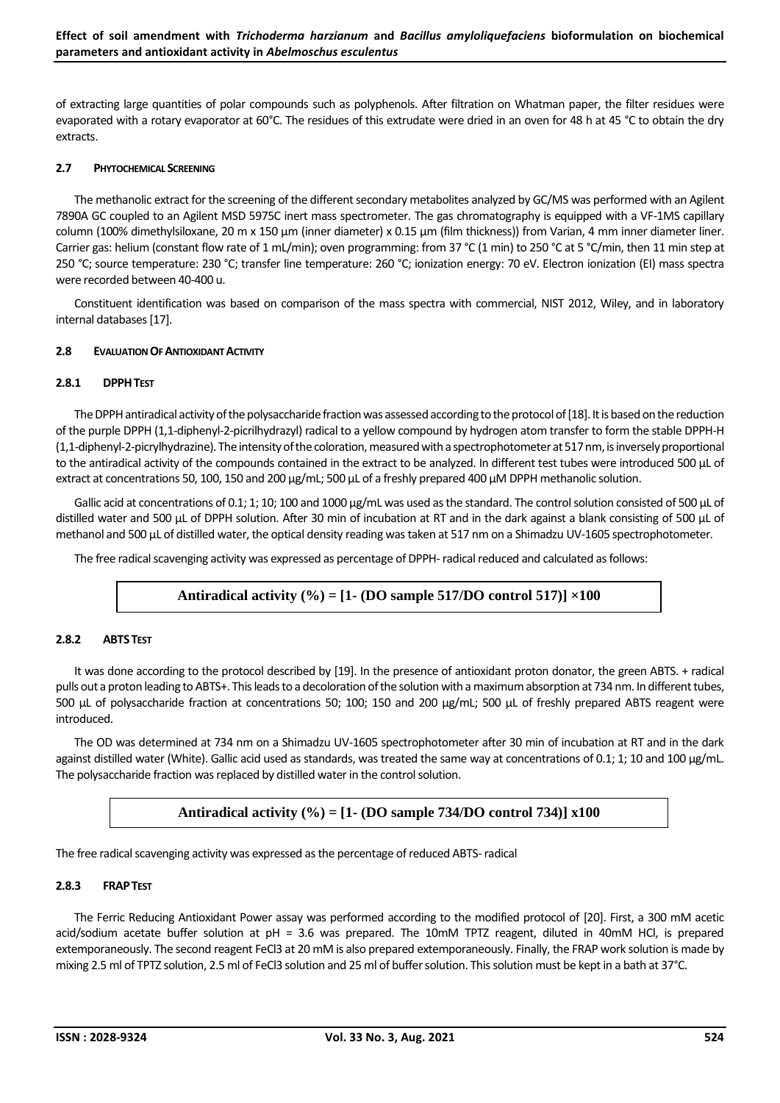of extracting large quantities of polar compounds such as polyphenols. After filtration on Whatman paper, the filter residues were evaporated with a rotary evaporator at 60°C. The residues of this extrudate were dried in an oven for 48 h at 45 °C to obtain the dry extracts.

#### **2.7 PHYTOCHEMICAL SCREENING**

The methanolic extract for the screening of the different secondary metabolites analyzed by GC/MS was performed with an Agilent 7890A GC coupled to an Agilent MSD 5975C inert mass spectrometer. The gas chromatography is equipped with a VF-1MS capillary column (100% dimethylsiloxane, 20 m x 150 µm (inner diameter) x 0.15 µm (film thickness)) from Varian, 4 mm inner diameter liner. Carrier gas: helium (constant flow rate of 1 mL/min); oven programming: from 37 °C (1 min) to 250 °C at 5 °C/min, then 11 min step at 250 °C; source temperature: 230 °C; transfer line temperature: 260 °C; ionization energy: 70 eV. Electron ionization (EI) mass spectra were recorded between 40-400 u.

Constituent identification was based on comparison of the mass spectra with commercial, NIST 2012, Wiley, and in laboratory internal databases[17].

#### **2.8 EVALUATION OF ANTIOXIDANT ACTIVITY**

## **2.8.1 DPPHTEST**

The DPPH antiradical activity of the polysaccharide fraction was assessed according to the protocol of [18]. It is based on the reduction of the purple DPPH (1,1-diphenyl-2-picrilhydrazyl) radical to a yellow compound by hydrogen atom transfer to form the stable DPPH-H (1,1-diphenyl-2-picrylhydrazine). The intensity of the coloration, measured with a spectrophotometer at 517 nm, is inversely proportional to the antiradical activity of the compounds contained in the extract to be analyzed. In different test tubes were introduced 500 μL of extract at concentrations 50, 100, 150 and 200 μg/mL; 500 μL of a freshly prepared 400 μM DPPH methanolic solution.

Gallic acid at concentrations of 0.1; 1; 10; 100 and 1000 μg/mL was used as the standard. The control solution consisted of 500 μL of distilled water and 500 μL of DPPH solution. After 30 min of incubation at RT and in the dark against a blank consisting of 500 μL of methanol and 500 μL of distilled water, the optical density reading was taken at 517 nm on a Shimadzu UV-1605 spectrophotometer.

The free radical scavenging activity was expressed as percentage of DPPH-radical reduced and calculated as follows:

# **Antiradical activity (%) = [1- (DO sample 517/DO control 517)] ×100**

#### **2.8.2 ABTSTEST**

It was done according to the protocol described by [19]. In the presence of antioxidant proton donator, the green ABTS. + radical pulls out a proton leading to ABTS+. This leads to a decoloration of the solution with a maximum absorption at 734 nm. In different tubes, 500 μL of polysaccharide fraction at concentrations 50; 100; 150 and 200 μg/mL; 500 μL of freshly prepared ABTS reagent were introduced.

The OD was determined at 734 nm on a Shimadzu UV-1605 spectrophotometer after 30 min of incubation at RT and in the dark against distilled water (White). Gallic acid used as standards, was treated the same way at concentrations of 0.1; 1; 10 and 100 μg/mL. The polysaccharide fraction was replaced by distilled water in the control solution.

# **Antiradical activity (%) = [1- (DO sample 734/DO control 734)] x100**

The free radical scavenging activity was expressed as the percentage of reduced ABTS-radical

#### **2.8.3 FRAPTEST**

The Ferric Reducing Antioxidant Power assay was performed according to the modified protocol of [20]. First, a 300 mM acetic acid/sodium acetate buffer solution at pH = 3.6 was prepared. The 10mM TPTZ reagent, diluted in 40mM HCl, is prepared extemporaneously. The second reagent FeCl3 at 20 mM is also prepared extemporaneously. Finally, the FRAP work solution is made by mixing 2.5 ml of TPTZ solution, 2.5 ml of FeCl3 solution and 25 ml of buffer solution. This solution must be kept in a bath at 37°C.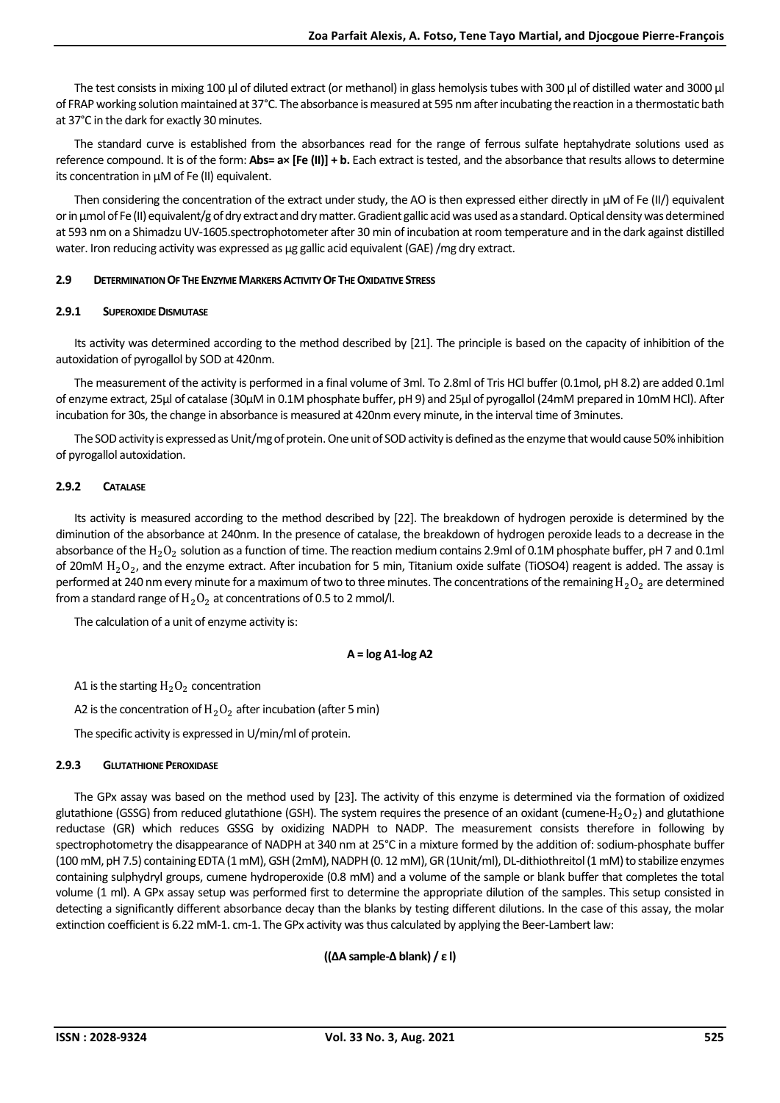The test consists in mixing 100 µl of diluted extract (or methanol) in glass hemolysis tubes with 300 µl of distilled water and 3000 µl of FRAP working solution maintained at 37°C. The absorbance is measured at 595 nm after incubating the reaction in a thermostatic bath at 37°C in the dark for exactly 30 minutes.

The standard curve is established from the absorbances read for the range of ferrous sulfate heptahydrate solutions used as reference compound. It is of the form: **Abs= a× [Fe (II)] + b.** Each extract is tested, and the absorbance that results allows to determine its concentration in µM of Fe (II) equivalent.

Then considering the concentration of the extract under study, the AO is then expressed either directly in μM of Fe (II/) equivalent or in μmol of Fe(II) equivalent/g of dry extract and dry matter. Gradient gallic acid was used as a standard. Optical density was determined at 593 nm on a Shimadzu UV-1605.spectrophotometer after 30 min of incubation at room temperature and in the dark against distilled water. Iron reducing activity was expressed as µg gallic acid equivalent (GAE) /mg dry extract.

#### **2.9 DETERMINATION OF THE ENZYME MARKERS ACTIVITY OF THE OXIDATIVE STRESS**

#### **2.9.1 SUPEROXIDE DISMUTASE**

Its activity was determined according to the method described by [21]. The principle is based on the capacity of inhibition of the autoxidation of pyrogallol by SOD at 420nm.

The measurement of the activity is performed in a final volume of 3ml. To 2.8ml of Tris HCl buffer (0.1mol, pH 8.2) are added 0.1ml of enzyme extract, 25µl of catalase (30µM in 0.1M phosphate buffer, pH 9) and 25µl of pyrogallol (24mM prepared in 10mM HCl). After incubation for 30s, the change in absorbance is measured at 420nm every minute, in the interval time of 3minutes.

The SOD activity is expressed as Unit/mg of protein. One unit of SOD activity is defined as the enzyme that would cause 50% inhibition of pyrogallol autoxidation.

#### **2.9.2 CATALASE**

Its activity is measured according to the method described by [22]. The breakdown of hydrogen peroxide is determined by the diminution of the absorbance at 240nm. In the presence of catalase, the breakdown of hydrogen peroxide leads to a decrease in the absorbance of the  $\rm H_2O_2$  solution as a function of time. The reaction medium contains 2.9ml of 0.1M phosphate buffer, pH 7 and 0.1ml of 20mM  $\rm H_2O_2$ , and the enzyme extract. After incubation for 5 min, Titanium oxide sulfate (TiOSO4) reagent is added. The assay is performed at 240 nm every minute for a maximum of two to three minutes. The concentrations of the remaining  $H_2O_2$  are determined from a standard range of  $H_2O_2$  at concentrations of 0.5 to 2 mmol/l.

The calculation of a unit of enzyme activity is:

#### **A = log A1-log A2**

A1 is the starting  $H_2O_2$  concentration

A2 is the concentration of  $H_2O_2$  after incubation (after 5 min)

The specific activity is expressed in U/min/ml of protein.

## **2.9.3 GLUTATHIONE PEROXIDASE**

The GPx assay was based on the method used by [23]. The activity of this enzyme is determined via the formation of oxidized glutathione (GSSG) from reduced glutathione (GSH). The system requires the presence of an oxidant (cumene-H $_2\rm O_2$ ) and glutathione reductase (GR) which reduces GSSG by oxidizing NADPH to NADP. The measurement consists therefore in following by spectrophotometry the disappearance of NADPH at 340 nm at 25°C in a mixture formed by the addition of: sodium-phosphate buffer (100 mM, pH 7.5) containing EDTA (1 mM), GSH (2mM), NADPH (0. 12 mM), GR (1Unit/ml), DL-dithiothreitol (1 mM) to stabilize enzymes containing sulphydryl groups, cumene hydroperoxide (0.8 mM) and a volume of the sample or blank buffer that completes the total volume (1 ml). A GPx assay setup was performed first to determine the appropriate dilution of the samples. This setup consisted in detecting a significantly different absorbance decay than the blanks by testing different dilutions. In the case of this assay, the molar extinction coefficient is 6.22 mM-1. cm-1. The GPx activity was thus calculated by applying the Beer-Lambert law:

## **((∆A sample-∆ blank) / ε l)**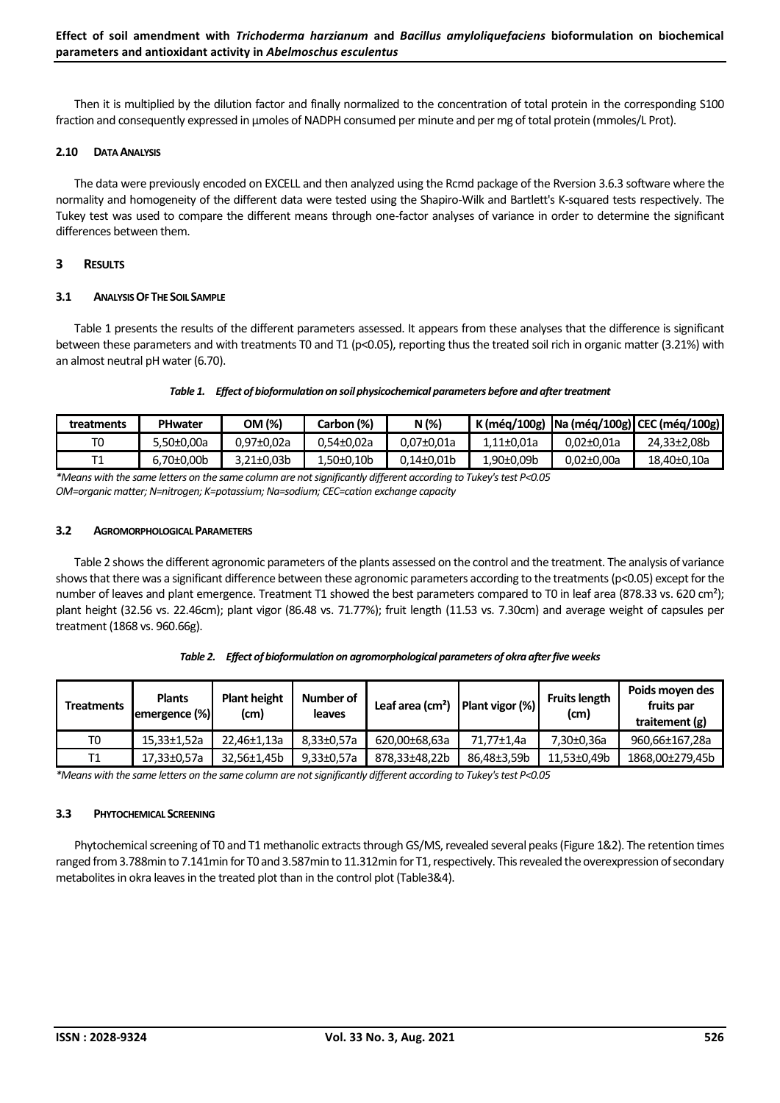Then it is multiplied by the dilution factor and finally normalized to the concentration of total protein in the corresponding S100 fraction and consequently expressed in µmoles of NADPH consumed per minute and per mg of total protein (mmoles/L Prot).

#### **2.10 DATA ANALYSIS**

The data were previously encoded on EXCELL and then analyzed using the Rcmd package of the Rversion 3.6.3 software where the normality and homogeneity of the different data were tested using the Shapiro-Wilk and Bartlett's K-squared tests respectively. The Tukey test was used to compare the different means through one-factor analyses of variance in order to determine the significant differences between them.

## **3 RESULTS**

#### **3.1 ANALYSIS OF THE SOIL SAMPLE**

Table 1 presents the results of the different parameters assessed. It appears from these analyses that the difference is significant between these parameters and with treatments T0 and T1 (p<0.05), reporting thus the treated soil rich in organic matter (3.21%) with an almost neutral pH water (6.70).

#### *Table 1. Effect of bioformulation on soil physicochemical parameters before and after treatment*

| treatments | <b>PHwater</b> | OM (%)     | Carbon (%) | N (%)      |            |                  | K (még/100g)   Na (még/100g)   CEC (még/100g) |
|------------|----------------|------------|------------|------------|------------|------------------|-----------------------------------------------|
|            | 5.50±0.00a     | 0.97±0.02a | 0.54±0.02a | 0.07±0.01a | 1.11±0.01a | $0.02 \pm 0.01a$ | 24.33±2.08b                                   |
|            | $6.70\pm0.00b$ | 3.21±0.03b | -50±0,10b. | 0.14±0.01b | 1,90±0,09b | $0.02 \pm 0.00a$ | 18.40±0.10a                                   |

*\*Means with the same letters on the same column are not significantly different according to Tukey's test P<0.05 OM=organic matter; N=nitrogen; K=potassium; Na=sodium; CEC=cation exchange capacity*

## **3.2 AGROMORPHOLOGICAL PARAMETERS**

Table 2 shows the different agronomic parameters of the plants assessed on the control and the treatment. The analysis of variance shows that there was a significant difference between these agronomic parameters according to the treatments(p<0.05) except for the number of leaves and plant emergence. Treatment T1 showed the best parameters compared to T0 in leaf area (878.33 vs. 620 cm<sup>2</sup>); plant height (32.56 vs. 22.46cm); plant vigor (86.48 vs. 71.77%); fruit length (11.53 vs. 7.30cm) and average weight of capsules per treatment (1868 vs. 960.66g).

|  | Table 2. Effect of bioformulation on agromorphological parameters of okra after five weeks |
|--|--------------------------------------------------------------------------------------------|
|--|--------------------------------------------------------------------------------------------|

| <b>Treatments</b> | <b>Plants</b><br>lemergence (%) | <b>Plant height</b><br>(c <sub>m</sub> ) | Number of<br>leaves | Plant vigor (%)<br>Leaf area $\text{(cm}^2\text{)}$ |             | <b>Fruits length</b><br>(cm) | Poids moven des<br>fruits par<br>traitement (g) |  |
|-------------------|---------------------------------|------------------------------------------|---------------------|-----------------------------------------------------|-------------|------------------------------|-------------------------------------------------|--|
| T0                | 15.33±1.52a                     | 22,46±1,13a                              | 8,33±0,57a          | 620.00±68.63a                                       | 71.77±1.4a  | 7,30±0,36a                   | 960.66±167.28a                                  |  |
| T1                | 17.33±0.57a                     | 32.56±1.45b                              | $9,33\pm0,57a$      | 878.33±48.22b                                       | 86.48±3.59b | 11.53±0.49b                  | 1868.00±279.45b                                 |  |

*\*Means with the same letters on the same column are not significantly different according to Tukey's test P<0.05*

## **3.3 PHYTOCHEMICAL SCREENING**

Phytochemical screening of T0 and T1 methanolic extracts through GS/MS, revealed several peaks(Figure 1&2). The retention times ranged from 3.788min to 7.141min for T0 and 3.587min to 11.312min for T1, respectively. This revealed the overexpression of secondary metabolites in okra leaves in the treated plot than in the control plot (Table3&4).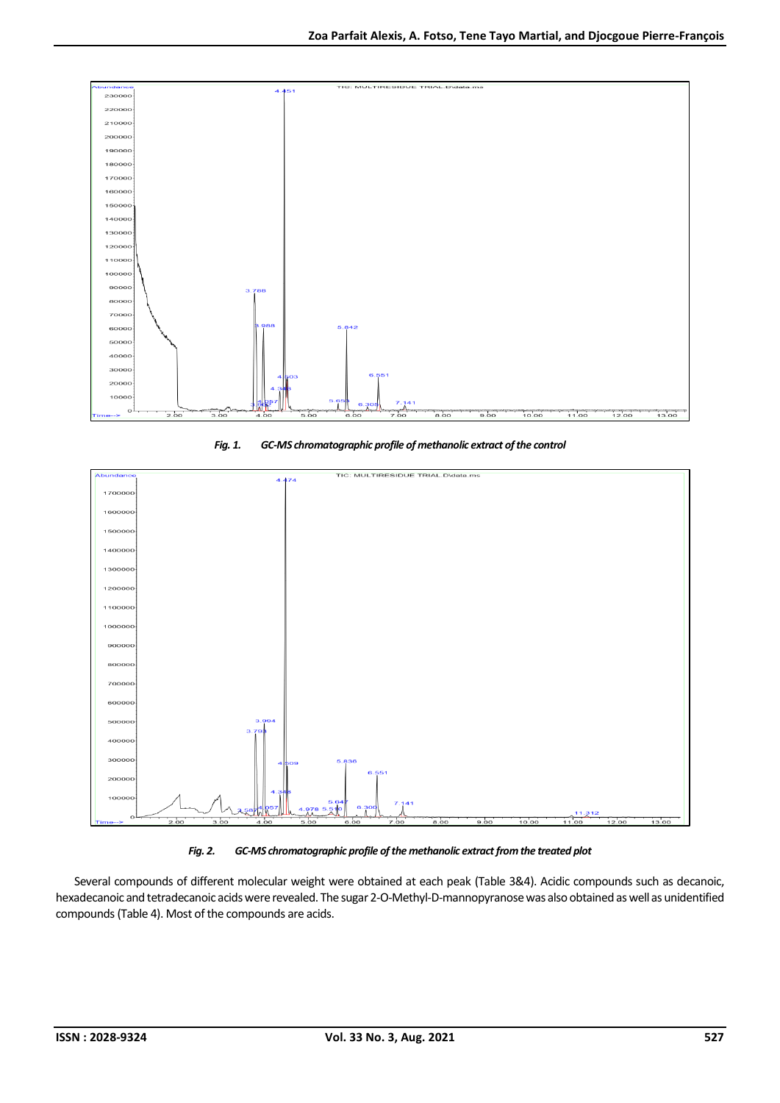

*Fig. 1. GC-MS chromatographic profile of methanolic extract of the control*





Several compounds of different molecular weight were obtained at each peak (Table 3&4). Acidic compounds such as decanoic, hexadecanoic and tetradecanoic acids were revealed. The sugar 2-O-Methyl-D-mannopyranose was also obtained as well as unidentified compounds(Table 4). Most of the compounds are acids.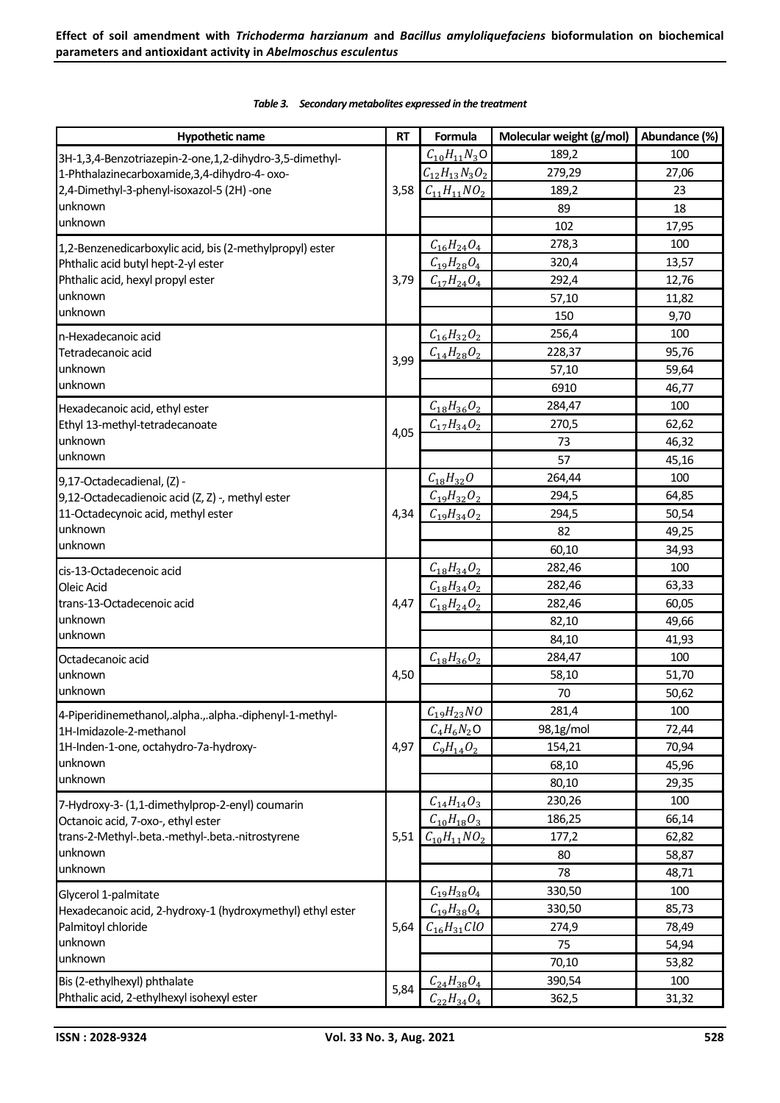| <b>Hypothetic name</b>                                                                | <b>RT</b> | Formula                 | Molecular weight (g/mol) | Abundance (%) |
|---------------------------------------------------------------------------------------|-----------|-------------------------|--------------------------|---------------|
| 3H-1,3,4-Benzotriazepin-2-one,1,2-dihydro-3,5-dimethyl-                               |           | $C_{10}H_{11}N_3O$      | 189,2                    | 100           |
| 1-Phthalazinecarboxamide, 3, 4-dihydro-4- oxo-                                        |           | $C_{12}H_{13}N_3O_2$    | 279,29                   | 27,06         |
| 2,4-Dimethyl-3-phenyl-isoxazol-5 (2H) -one                                            |           | 3,58 $C_{11}H_{11}NO_2$ | 189,2                    | 23            |
| unknown                                                                               |           |                         | 89                       | 18            |
| unknown                                                                               |           |                         | 102                      | 17,95         |
| 1,2-Benzenedicarboxylic acid, bis (2-methylpropyl) ester                              |           | $C_{16}H_{24}O_4$       | 278,3                    | 100           |
| Phthalic acid butyl hept-2-yl ester                                                   | 3,79      | $C_{19}H_{28}O_4$       | 320,4                    | 13,57         |
| Phthalic acid, hexyl propyl ester                                                     |           | $C_{17}H_{24}O_4$       | 292,4                    | 12,76         |
| unknown                                                                               |           |                         | 57,10                    | 11,82         |
| unknown                                                                               |           |                         | 150                      | 9,70          |
| n-Hexadecanoic acid                                                                   |           | $C_{16}H_{32}O_2$       | 256,4                    | 100           |
| Tetradecanoic acid                                                                    |           | $C_{14}H_{28}O_2$       | 228,37                   | 95,76         |
| unknown                                                                               | 3,99      |                         | 57,10                    | 59,64         |
| unknown                                                                               |           |                         | 6910                     | 46,77         |
| Hexadecanoic acid, ethyl ester                                                        |           | $C_{18}H_{36}O_2$       | 284,47                   | 100           |
| Ethyl 13-methyl-tetradecanoate                                                        |           | $C_{17}H_{34}O_2$       | 270,5                    | 62,62         |
| unknown                                                                               | 4,05      |                         | 73                       | 46,32         |
| unknown                                                                               |           |                         | 57                       | 45,16         |
|                                                                                       |           | $C_{18}H_{32}O$         | 264,44                   | 100           |
| 9,17-Octadecadienal, (Z) -<br>9,12-Octadecadienoic acid (Z, Z) -, methyl ester        |           | $C_{19}H_{32}O_2$       | 294,5                    | 64,85         |
| 11-Octadecynoic acid, methyl ester                                                    | 4,34      | $C_{19}H_{34}O_2$       | 294,5                    | 50,54         |
| unknown                                                                               |           |                         | 82                       | 49,25         |
| unknown                                                                               |           |                         | 60,10                    | 34,93         |
|                                                                                       |           | $C_{18}H_{34}O_2$       | 282,46                   | 100           |
| cis-13-Octadecenoic acid<br>Oleic Acid                                                |           | $C_{18}H_{34}O_2$       | 282,46                   | 63,33         |
| trans-13-Octadecenoic acid                                                            | 4,47      | $C_{18}H_{24}O_2$       | 282,46                   | 60,05         |
| unknown                                                                               |           |                         | 82,10                    | 49,66         |
| unknown                                                                               |           |                         | 84,10                    | 41,93         |
| Octadecanoic acid                                                                     |           | $C_{18}H_{36}O_2$       | 284,47                   | 100           |
| lunknown                                                                              | 4,50      |                         | 58,10                    | 51,70         |
| unknown                                                                               |           |                         | 70                       | 50,62         |
|                                                                                       |           | $C_{19}H_{23}NO$        | 281,4                    | 100           |
| 4-Piperidinemethanol, alpha., alpha.-diphenyl-1-methyl-<br>1H-Imidazole-2-methanol    |           | $C_4H_6N_2$ O           | 98,1g/mol                | 72,44         |
| 1H-Inden-1-one, octahydro-7a-hydroxy-                                                 | 4,97      | $C_9H_{14}O_2$          | 154,21                   | 70,94         |
| unknown                                                                               |           |                         | 68,10                    | 45,96         |
| unknown                                                                               |           |                         | 80,10                    | 29,35         |
|                                                                                       |           | $C_{14}H_{14}O_3$       | 230,26                   | 100           |
| 7-Hydroxy-3- (1,1-dimethylprop-2-enyl) coumarin<br>Octanoic acid, 7-oxo-, ethyl ester |           | $C_{10}H_{18}O_3$       | 186,25                   | 66,14         |
| trans-2-Methyl-.beta.-methyl-.beta.-nitrostyrene                                      | 5,51      | $C_{10}H_{11}NO_2$      | 177,2                    | 62,82         |
| unknown                                                                               |           |                         | 80                       | 58,87         |
| unknown                                                                               |           |                         | 78                       | 48,71         |
|                                                                                       |           | $C_{19}H_{38}O_4$       | 330,50                   | 100           |
| Glycerol 1-palmitate<br>Hexadecanoic acid, 2-hydroxy-1 (hydroxymethyl) ethyl ester    |           | $C_{19}H_{38}O_4$       | 330,50                   | 85,73         |
| Palmitoyl chloride                                                                    | 5,64      | $C_{16}H_{31}ClO$       | 274,9                    | 78,49         |
| unknown                                                                               |           |                         | 75                       | 54,94         |
| unknown                                                                               |           |                         | 70,10                    | 53,82         |
| Bis (2-ethylhexyl) phthalate                                                          |           | $C_{24}H_{38}O_4$       | 390,54                   | 100           |
| Phthalic acid, 2-ethylhexyl isohexyl ester                                            | 5,84      | $C_{22}H_{34}O_4$       | 362,5                    | 31,32         |
|                                                                                       |           |                         |                          |               |

#### *Table 3. Secondary metabolites expressed in the treatment*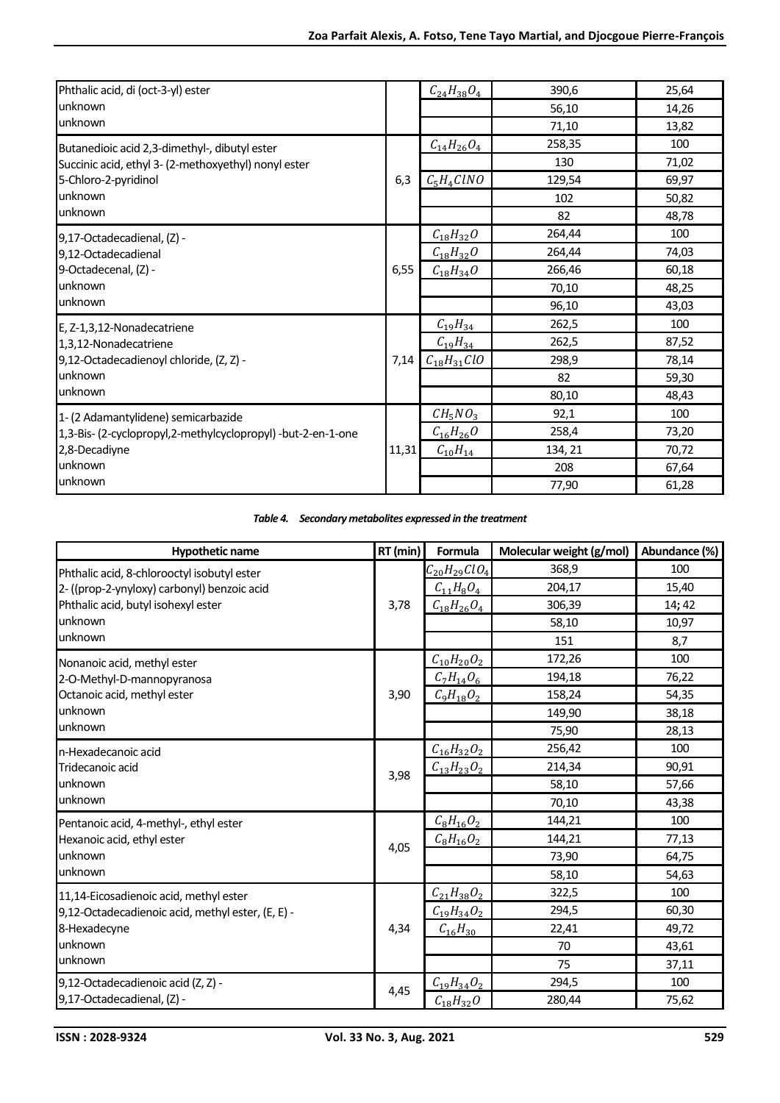| Phthalic acid, di (oct-3-yl) ester                           |       | $C_{24}H_{38}O_4$ | 390,6   | 25,64 |
|--------------------------------------------------------------|-------|-------------------|---------|-------|
| unknown                                                      |       |                   | 56,10   | 14,26 |
| unknown                                                      |       |                   | 71,10   | 13,82 |
| Butanedioic acid 2,3-dimethyl-, dibutyl ester                |       | $C_{14}H_{26}O_4$ | 258,35  | 100   |
| Succinic acid, ethyl 3- (2-methoxyethyl) nonyl ester         |       |                   | 130     | 71,02 |
| 5-Chloro-2-pyridinol                                         | 6,3   | $C_5H_4ClNO$      | 129,54  | 69,97 |
| unknown                                                      |       |                   | 102     | 50,82 |
| unknown                                                      |       |                   | 82      | 48,78 |
| 9,17-Octadecadienal, (Z) -                                   |       | $C_{18}H_{32}O$   | 264,44  | 100   |
| 9,12-Octadecadienal                                          |       | $C_{18}H_{32}O$   | 264,44  | 74,03 |
| 9-Octadecenal, (Z) -                                         |       | $C_{18}H_{34}O$   | 266,46  | 60,18 |
| unknown                                                      |       |                   | 70,10   | 48,25 |
| unknown                                                      |       |                   | 96,10   | 43,03 |
| E, Z-1,3,12-Nonadecatriene                                   |       | $C_{19}H_{34}$    | 262,5   | 100   |
| 1,3,12-Nonadecatriene                                        |       | $C_{19}H_{34}$    | 262,5   | 87,52 |
| 9,12-Octadecadienoyl chloride, (Z, Z) -                      | 7,14  | $C_{18}H_{31}ClO$ | 298,9   | 78,14 |
| unknown                                                      |       |                   | 82      | 59,30 |
| unknown                                                      |       |                   | 80,10   | 48,43 |
| 1- (2 Adamantylidene) semicarbazide                          |       | $CH_5NO_3$        | 92,1    | 100   |
| 1,3-Bis- (2-cyclopropyl,2-methylcyclopropyl) -but-2-en-1-one |       | $C_{16}H_{26}O$   | 258,4   | 73,20 |
| 2,8-Decadiyne                                                | 11,31 | $C_{10}H_{14}$    | 134, 21 | 70,72 |
| unknown                                                      |       |                   | 208     | 67,64 |
| unknown                                                      |       |                   | 77,90   | 61,28 |

|  | Table 4. Secondary metabolites expressed in the treatment |
|--|-----------------------------------------------------------|
|--|-----------------------------------------------------------|

| <b>Hypothetic name</b>                            | RT (min) | Formula            | Molecular weight (g/mol) | Abundance (%) |
|---------------------------------------------------|----------|--------------------|--------------------------|---------------|
| Phthalic acid, 8-chlorooctyl isobutyl ester       |          | $C_{20}H_{29}ClO4$ | 368,9                    | 100           |
| 2- ((prop-2-ynyloxy) carbonyl) benzoic acid       |          | $C_{11}H_8O_4$     | 204,17                   | 15,40         |
| Phthalic acid, butyl isohexyl ester               | 3,78     | $C_{18}H_{26}O_4$  | 306,39                   | 14; 42        |
| unknown                                           |          |                    | 58,10                    | 10,97         |
| unknown                                           |          |                    | 151                      | 8,7           |
| Nonanoic acid, methyl ester                       |          | $C_{10}H_{20}O_2$  | 172,26                   | 100           |
| 2-O-Methyl-D-mannopyranosa                        |          | $C_7H_{14}O_6$     | 194,18                   | 76,22         |
| Octanoic acid, methyl ester                       | 3,90     | $C_9H_{18}O_2$     | 158,24                   | 54,35         |
| unknown                                           |          |                    | 149,90                   | 38,18         |
| unknown                                           |          |                    | 75,90                    | 28,13         |
| n-Hexadecanoic acid                               |          | $C_{16}H_{32}O_2$  | 256,42                   | 100           |
| Tridecanoic acid                                  |          | $C_{13}H_{23}O_2$  | 214,34                   | 90,91         |
| unknown                                           | 3,98     |                    | 58,10                    | 57,66         |
| unknown                                           |          |                    | 70,10                    | 43,38         |
| Pentanoic acid, 4-methyl-, ethyl ester            |          | $C_8H_{16}O_2$     | 144,21                   | 100           |
| Hexanoic acid, ethyl ester                        |          | $C_8H_{16}O_2$     | 144,21                   | 77,13         |
| unknown                                           | 4,05     |                    | 73,90                    | 64,75         |
| unknown                                           |          |                    | 58,10                    | 54,63         |
| 11,14-Eicosadienoic acid, methyl ester            |          | $C_{21}H_{38}O_2$  | 322,5                    | 100           |
| 9,12-Octadecadienoic acid, methyl ester, (E, E) - |          | $C_{19}H_{34}O_2$  | 294,5                    | 60,30         |
| 8-Hexadecyne                                      | 4,34     | $C_{16}H_{30}$     | 22,41                    | 49,72         |
| unknown                                           |          |                    | 70                       | 43,61         |
| unknown                                           |          |                    | 75                       | 37,11         |
| 9,12-Octadecadienoic acid (Z, Z) -                |          | $C_{19}H_{34}O_2$  | 294,5                    | 100           |
| 9,17-Octadecadienal, (Z) -                        | 4,45     | $C_{18}H_{32}O$    | 280,44                   | 75,62         |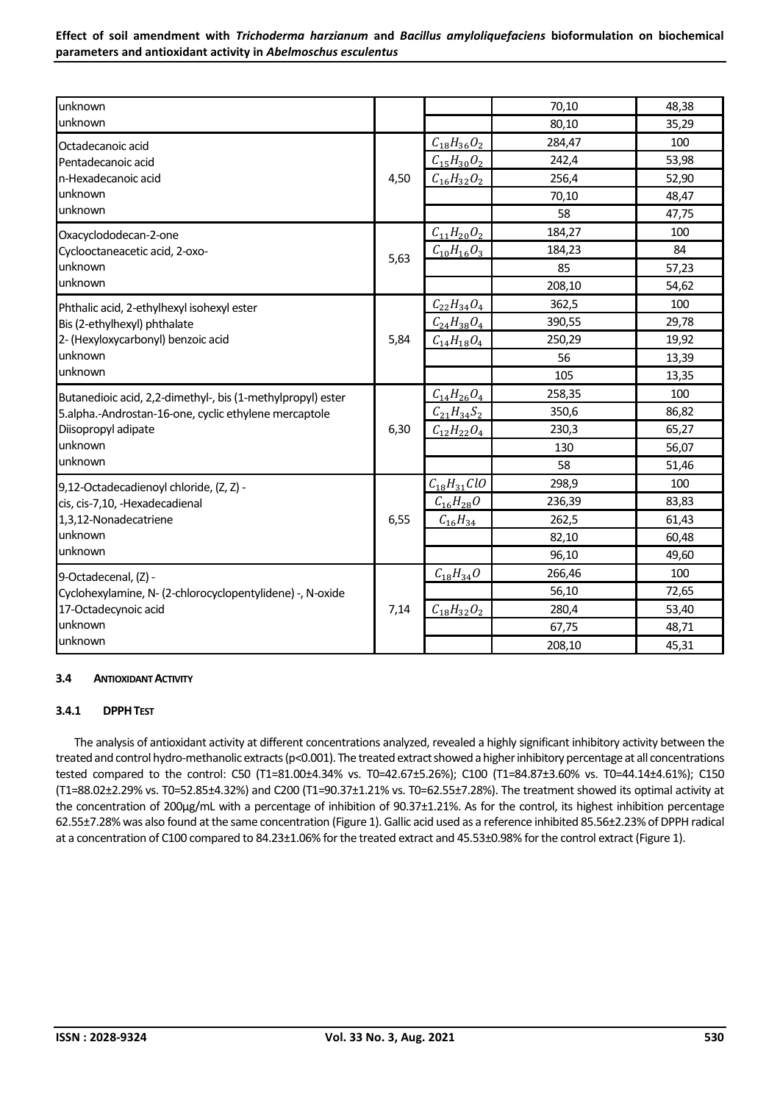| unknown                                                     |      |                     | 70,10  | 48,38 |
|-------------------------------------------------------------|------|---------------------|--------|-------|
| unknown                                                     |      |                     | 80,10  | 35,29 |
| Octadecanoic acid                                           |      | $C_{18}H_{36}O_2$   | 284,47 | 100   |
| Pentadecanoic acid                                          |      | $C_{15}H_{30}O_2$   | 242,4  | 53,98 |
| n-Hexadecanoic acid                                         | 4,50 | $C_{16}H_{32}O_2$   | 256,4  | 52,90 |
| unknown                                                     |      |                     | 70,10  | 48,47 |
| unknown                                                     |      |                     | 58     | 47,75 |
| Oxacyclododecan-2-one                                       |      | $C_{11}H_{20}O_2$   | 184,27 | 100   |
| Cyclooctaneacetic acid, 2-oxo-                              |      | $C_{10}H_{16}O_3$   | 184,23 | 84    |
| unknown                                                     | 5,63 |                     | 85     | 57,23 |
| unknown                                                     |      |                     | 208,10 | 54,62 |
| Phthalic acid, 2-ethylhexyl isohexyl ester                  |      | $C_{22}H_{34}O_4$   | 362,5  | 100   |
| Bis (2-ethylhexyl) phthalate                                |      | $C_{24}H_{38}O_4$   | 390,55 | 29,78 |
| 2- (Hexyloxycarbonyl) benzoic acid                          | 5,84 | $C_{14}H_{18}O_4$   | 250,29 | 19,92 |
| unknown                                                     |      |                     | 56     | 13,39 |
| unknown                                                     |      |                     | 105    | 13,35 |
| Butanedioic acid, 2,2-dimethyl-, bis (1-methylpropyl) ester |      | $C_{14}H_{26}O_4$   | 258,35 | 100   |
| 5.alpha.-Androstan-16-one, cyclic ethylene mercaptole       |      | $C_{21}H_{34}S_{2}$ | 350,6  | 86,82 |
| Diisopropyl adipate                                         | 6,30 | $C_{12}H_{22}O_4$   | 230,3  | 65,27 |
| unknown                                                     |      |                     | 130    | 56,07 |
| unknown                                                     |      |                     | 58     | 51,46 |
| 9,12-Octadecadienoyl chloride, (Z, Z) -                     |      | $C_{18}H_{31}ClO$   | 298,9  | 100   |
| cis, cis-7,10, -Hexadecadienal                              |      | $C_{16}H_{28}O$     | 236,39 | 83,83 |
| 1,3,12-Nonadecatriene                                       | 6,55 | $C_{16}H_{34}$      | 262,5  | 61,43 |
| unknown                                                     |      |                     | 82,10  | 60,48 |
| unknown                                                     |      |                     | 96,10  | 49,60 |
| 9-Octadecenal, (Z) -                                        |      | $C_{18}H_{34}O$     | 266,46 | 100   |
| Cyclohexylamine, N- (2-chlorocyclopentylidene) -, N-oxide   |      |                     | 56,10  | 72,65 |
| 17-Octadecynoic acid                                        | 7,14 | $C_{18}H_{32}O_2$   | 280,4  | 53,40 |
| unknown                                                     |      |                     | 67,75  | 48,71 |
| unknown                                                     |      |                     | 208,10 | 45,31 |

## **3.4 ANTIOXIDANT ACTIVITY**

## **3.4.1 DPPHTEST**

The analysis of antioxidant activity at different concentrations analyzed, revealed a highly significant inhibitory activity between the treated and control hydro-methanolic extracts(p<0.001). The treated extract showed a higher inhibitory percentage at all concentrations tested compared to the control: C50 (T1=81.00±4.34% vs. T0=42.67±5.26%); C100 (T1=84.87±3.60% vs. T0=44.14±4.61%); C150 (T1=88.02±2.29% vs. T0=52.85±4.32%) and C200 (T1=90.37±1.21% vs. T0=62.55±7.28%). The treatment showed its optimal activity at the concentration of 200µg/mL with a percentage of inhibition of 90.37±1.21%. As for the control, its highest inhibition percentage 62.55±7.28% was also found at the same concentration (Figure 1). Gallic acid used as a reference inhibited 85.56±2.23% of DPPH radical at a concentration of C100 compared to 84.23±1.06% for the treated extract and 45.53±0.98% for the control extract (Figure 1).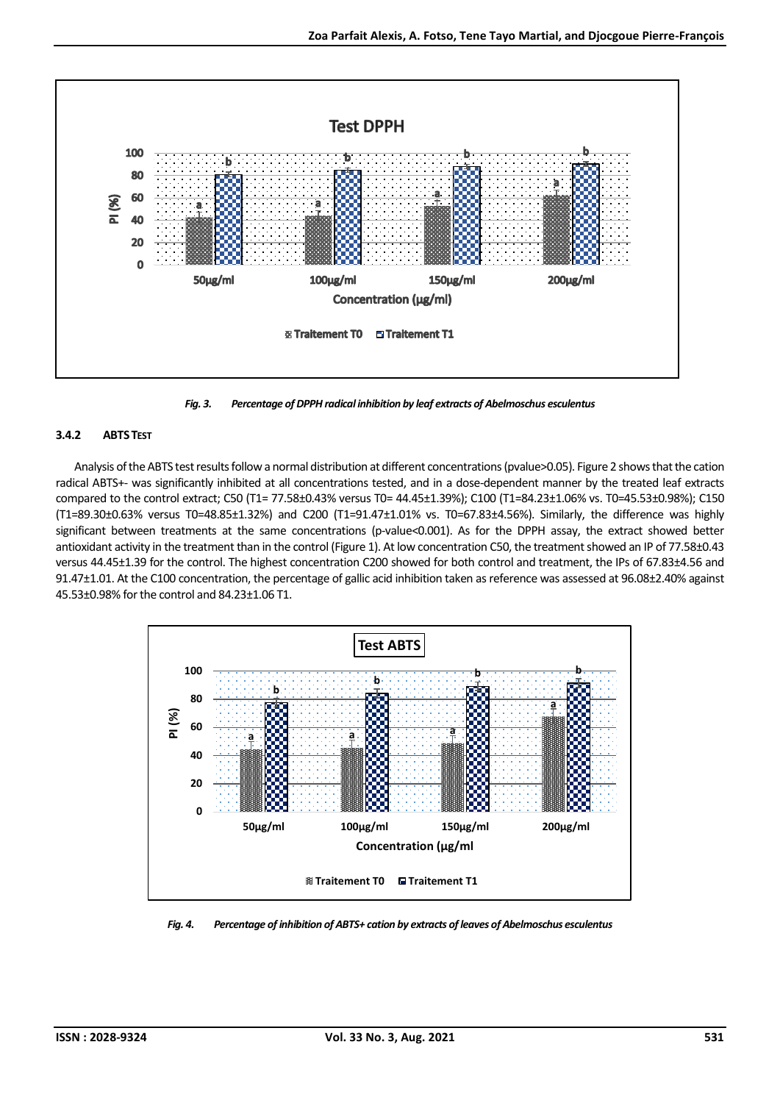

*Fig. 3. Percentage of DPPH radical inhibition by leaf extracts of Abelmoschus esculentus*

# **3.4.2 ABTSTEST**

Analysis of the ABTS test results follow a normal distribution at different concentrations (pvalue>0.05). Figure 2 shows that the cation radical ABTS+- was significantly inhibited at all concentrations tested, and in a dose-dependent manner by the treated leaf extracts compared to the control extract; C50 (T1= 77.58±0.43% versus T0= 44.45±1.39%); C100 (T1=84.23±1.06% vs. T0=45.53±0.98%); C150 (T1=89.30±0.63% versus T0=48.85±1.32%) and C200 (T1=91.47±1.01% vs. T0=67.83±4.56%). Similarly, the difference was highly significant between treatments at the same concentrations (p-value<0.001). As for the DPPH assay, the extract showed better antioxidant activity in the treatment than in the control (Figure 1). At low concentration C50, the treatment showed an IP of 77.58±0.43 versus 44.45±1.39 for the control. The highest concentration C200 showed for both control and treatment, the IPs of 67.83±4.56 and 91.47±1.01. At the C100 concentration, the percentage of gallic acid inhibition taken as reference was assessed at 96.08±2.40% against 45.53±0.98% for the control and 84.23±1.06 T1.



*Fig. 4. Percentage of inhibition of ABTS+ cation by extracts of leaves of Abelmoschus esculentus*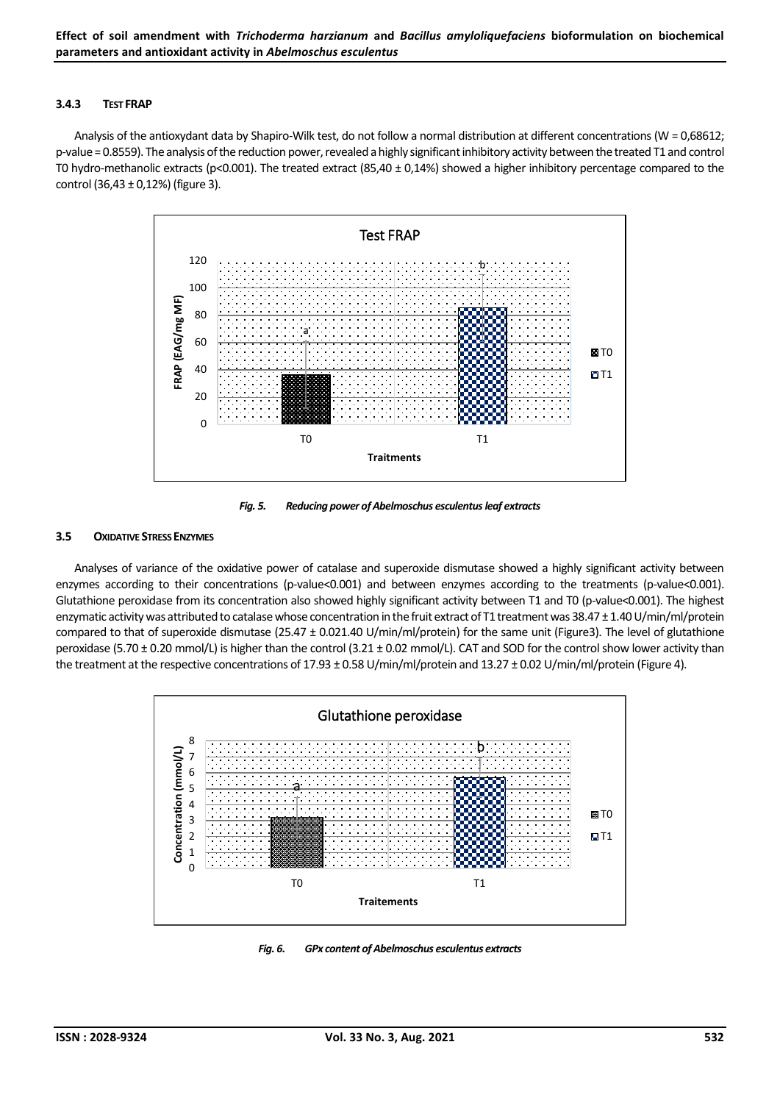#### **3.4.3 TEST FRAP**

Analysis of the antioxydant data by Shapiro-Wilk test, do not follow a normal distribution at different concentrations(W = 0,68612; p-value = 0.8559). The analysis of the reduction power, revealed a highly significant inhibitory activity between the treated T1 and control T0 hydro-methanolic extracts (p<0.001). The treated extract (85,40 ± 0,14%) showed a higher inhibitory percentage compared to the control (36,43 ± 0,12%) (figure 3).



*Fig. 5. Reducing power of Abelmoschus esculentus leaf extracts*

## **3.5 OXIDATIVE STRESS ENZYMES**

Analyses of variance of the oxidative power of catalase and superoxide dismutase showed a highly significant activity between enzymes according to their concentrations (p-value<0.001) and between enzymes according to the treatments (p-value<0.001). Glutathione peroxidase from its concentration also showed highly significant activity between T1 and T0 (p-value<0.001). The highest enzymatic activity was attributed to catalase whose concentration in the fruit extract of T1 treatment was 38.47 ± 1.40 U/min/ml/protein compared to that of superoxide dismutase (25.47 ± 0.021.40 U/min/ml/protein) for the same unit (Figure3). The level of glutathione peroxidase (5.70 ± 0.20 mmol/L) is higher than the control (3.21 ± 0.02 mmol/L). CAT and SOD for the control show lower activity than the treatment at the respective concentrations of 17.93 ± 0.58 U/min/ml/protein and 13.27 ± 0.02 U/min/ml/protein (Figure 4).



*Fig. 6. GPx content of Abelmoschus esculentus extracts*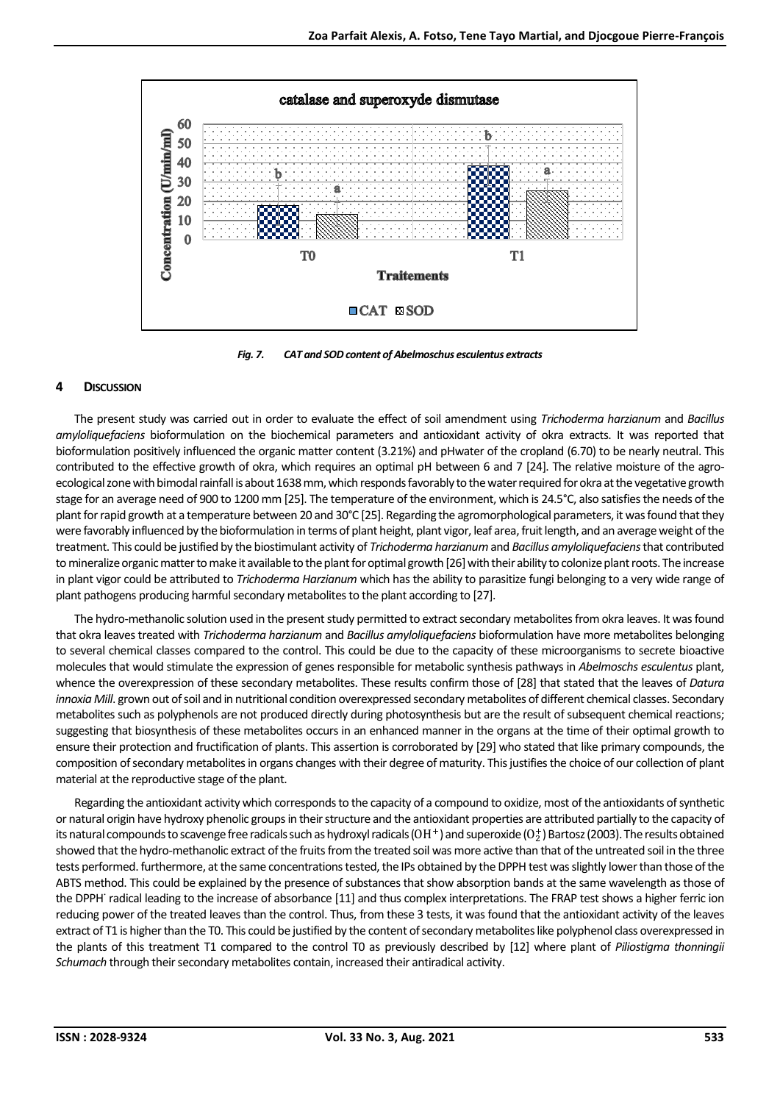

*Fig. 7. CAT and SOD content of Abelmoschus esculentus extracts*

# **4 DISCUSSION**

The present study was carried out in order to evaluate the effect of soil amendment using *Trichoderma harzianum* and *Bacillus amyloliquefaciens* bioformulation on the biochemical parameters and antioxidant activity of okra extracts. It was reported that bioformulation positively influenced the organic matter content (3.21%) and pHwater of the cropland (6.70) to be nearly neutral. This contributed to the effective growth of okra, which requires an optimal pH between 6 and 7 [24]. The relative moisture of the agroecological zone with bimodal rainfall is about 1638 mm, which responds favorably to the water required for okra at the vegetative growth stage for an average need of 900 to 1200 mm [25]. The temperature of the environment, which is 24.5°C, also satisfies the needs of the plant for rapid growth at a temperature between 20 and 30°C [25]. Regarding the agromorphological parameters, it was found that they were favorably influenced by the bioformulation in terms of plant height, plant vigor, leaf area, fruit length, and an average weight of the treatment. This could be justified by the biostimulant activity of *Trichoderma harzianum* and *Bacillus amyloliquefaciens*that contributed to mineralize organic matter to make it available to the plant for optimal growth [26] with their ability to colonize plant roots. The increase in plant vigor could be attributed to *Trichoderma Harzianum* which has the ability to parasitize fungi belonging to a very wide range of plant pathogens producing harmful secondary metabolites to the plant according to [27].

The hydro-methanolic solution used in the present study permitted to extract secondary metabolites from okra leaves. It was found that okra leaves treated with *Trichoderma harzianum* and *Bacillus amyloliquefaciens* bioformulation have more metabolites belonging to several chemical classes compared to the control. This could be due to the capacity of these microorganisms to secrete bioactive molecules that would stimulate the expression of genes responsible for metabolic synthesis pathways in *Abelmoschs esculentus* plant, whence the overexpression of these secondary metabolites. These results confirm those of [28] that stated that the leaves of *Datura innoxia Mill*. grown out of soil and in nutritional condition overexpressed secondary metabolites of different chemical classes. Secondary metabolites such as polyphenols are not produced directly during photosynthesis but are the result of subsequent chemical reactions; suggesting that biosynthesis of these metabolites occurs in an enhanced manner in the organs at the time of their optimal growth to ensure their protection and fructification of plants. This assertion is corroborated by [29] who stated that like primary compounds, the composition of secondary metabolites in organs changes with their degree of maturity. This justifies the choice of our collection of plant material at the reproductive stage of the plant.

Regarding the antioxidant activity which corresponds to the capacity of a compound to oxidize, most of the antioxidants of synthetic or natural origin have hydroxy phenolic groups in their structure and the antioxidant properties are attributed partially to the capacity of its natural compounds to scavenge free radicals such as hydroxyl radicals (OH  $^+$  ) and superoxide (O $_2^+$  ) Bartosz (2003). The results obtained showed that the hydro-methanolic extract of the fruits from the treated soil was more active than that of the untreated soil in the three tests performed. furthermore, at the same concentrations tested, the IPs obtained by the DPPH test was slightly lower than those of the ABTS method. This could be explained by the presence of substances that show absorption bands at the same wavelength as those of the DPPH˙ radical leading to the increase of absorbance [11] and thus complex interpretations. The FRAP test shows a higher ferric ion reducing power of the treated leaves than the control. Thus, from these 3 tests, it was found that the antioxidant activity of the leaves extract of T1 is higher than the T0. This could be justified by the content of secondary metabolites like polyphenol class overexpressed in the plants of this treatment T1 compared to the control T0 as previously described by [12] where plant of *Piliostigma thonningii Schumach* through their secondary metabolites contain, increased their antiradical activity.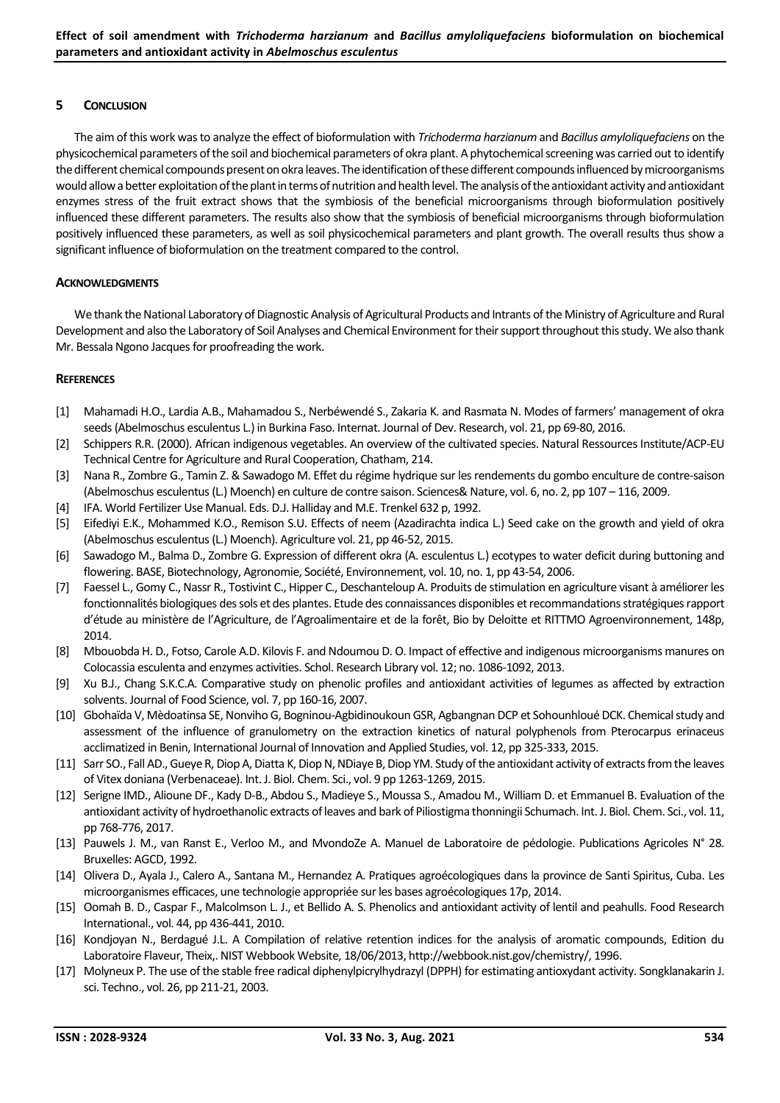## **5 CONCLUSION**

The aim of this work was to analyze the effect of bioformulation with *Trichoderma harzianum* and *Bacillus amyloliquefaciens* on the physicochemical parameters of the soil and biochemical parameters of okra plant. A phytochemical screening was carried out to identify the different chemical compounds present on okra leaves. The identification of these different compounds influenced by microorganisms would allow a better exploitation of the plant in terms of nutrition and health level. The analysis of the antioxidant activity and antioxidant enzymes stress of the fruit extract shows that the symbiosis of the beneficial microorganisms through bioformulation positively influenced these different parameters. The results also show that the symbiosis of beneficial microorganisms through bioformulation positively influenced these parameters, as well as soil physicochemical parameters and plant growth. The overall results thus show a significant influence of bioformulation on the treatment compared to the control.

#### **ACKNOWLEDGMENTS**

We thank the National Laboratory of Diagnostic Analysis of Agricultural Products and Intrants of the Ministry of Agriculture and Rural Development and also the Laboratory of Soil Analyses and Chemical Environment for their support throughout this study. We also thank Mr. Bessala Ngono Jacques for proofreading the work.

#### **REFERENCES**

- [1] Mahamadi H.O., Lardia A.B., Mahamadou S., Nerbéwendé S., Zakaria K. and Rasmata N. Modes of farmers' management of okra seeds (Abelmoschus esculentus L.) in Burkina Faso. Internat. Journal of Dev. Research, vol. 21, pp 69-80, 2016.
- [2] Schippers R.R. (2000). African indigenous vegetables. An overview of the cultivated species. Natural Ressources Institute/ACP-EU Technical Centre for Agriculture and Rural Cooperation, Chatham, 214.
- [3] Nana R., Zombre G., Tamin Z. & Sawadogo M. Effet du régime hydrique sur les rendements du gombo enculture de contre-saison (Abelmoschus esculentus (L.) Moench) en culture de contre saison. Sciences& Nature, vol. 6, no. 2, pp 107 – 116, 2009.
- [4] IFA. World Fertilizer Use Manual. Eds. D.J. Halliday and M.E. Trenkel 632 p, 1992.
- [5] Eifediyi E.K., Mohammed K.O., Remison S.U. Effects of neem (Azadirachta indica L.) Seed cake on the growth and yield of okra (Abelmoschus esculentus (L.) Moench). Agriculture vol. 21, pp 46-52, 2015.
- [6] Sawadogo M., Balma D., Zombre G. Expression of different okra (A. esculentus L.) ecotypes to water deficit during buttoning and flowering. BASE, Biotechnology, Agronomie, Société, Environnement, vol. 10, no. 1, pp 43-54, 2006.
- [7] Faessel L., Gomy C., Nassr R., Tostivint C., Hipper C., Deschanteloup A. Produits de stimulation en agriculture visant à améliorer les fonctionnalités biologiques des sols et des plantes. Etude des connaissances disponibles et recommandations stratégiques rapport d'étude au ministère de l'Agriculture, de l'Agroalimentaire et de la forêt, Bio by Deloitte et RITTMO Agroenvironnement, 148p, 2014.
- [8] Mbouobda H. D., Fotso, Carole A.D. Kilovis F. and Ndoumou D. O. Impact of effective and indigenous microorganisms manures on Colocassia esculenta and enzymes activities. Schol. Research Library vol. 12; no. 1086-1092, 2013.
- [9] Xu B.J., Chang S.K.C.A. Comparative study on phenolic profiles and antioxidant activities of legumes as affected by extraction solvents. Journal of Food Science, vol. 7, pp 160-16, 2007.
- [10] Gbohaïda V, Mèdoatinsa SE, Nonviho G, Bogninou-Agbidinoukoun GSR, Agbangnan DCP et Sohounhloué DCK. Chemical study and assessment of the influence of granulometry on the extraction kinetics of natural polyphenols from Pterocarpus erinaceus acclimatized in Benin, International Journal of Innovation and Applied Studies, vol. 12, pp 325-333, 2015.
- [11] Sarr SO., Fall AD., Gueye R, Diop A, Diatta K, Diop N, NDiaye B, Diop YM. Study of the antioxidant activity of extracts from the leaves of Vitex doniana (Verbenaceae). Int. J. Biol. Chem. Sci., vol. 9 pp 1263-1269, 2015.
- [12] Serigne IMD., Alioune DF., Kady D-B., Abdou S., Madieye S., Moussa S., Amadou M., William D. et Emmanuel B. Evaluation of the antioxidant activity of hydroethanolic extracts of leaves and bark of Piliostigma thonningii Schumach. Int. J. Biol. Chem. Sci., vol. 11, pp 768-776, 2017.
- [13] Pauwels J. M., van Ranst E., Verloo M., and MvondoZe A. Manuel de Laboratoire de pédologie. Publications Agricoles N° 28. Bruxelles: AGCD, 1992.
- [14] Olivera D., Ayala J., Calero A., Santana M., Hernandez A. Pratiques agroécologiques dans la province de Santi Spiritus, Cuba. Les microorganismes efficaces, une technologie appropriée sur les bases agroécologiques 17p, 2014.
- [15] Oomah B. D., Caspar F., Malcolmson L. J., et Bellido A. S. Phenolics and antioxidant activity of lentil and peahulls. Food Research International., vol. 44, pp 436-441, 2010.
- [16] Kondjoyan N., Berdagué J.L. A Compilation of relative retention indices for the analysis of aromatic compounds, Edition du Laboratoire Flaveur, Theix,. NIST Webbook Website, 18/06/2013, http://webbook.nist.gov/chemistry/, 1996.
- [17] Molyneux P. The use of the stable free radical diphenylpicrylhydrazyl (DPPH) for estimating antioxydant activity. Songklanakarin J. sci. Techno., vol. 26, pp 211-21, 2003.